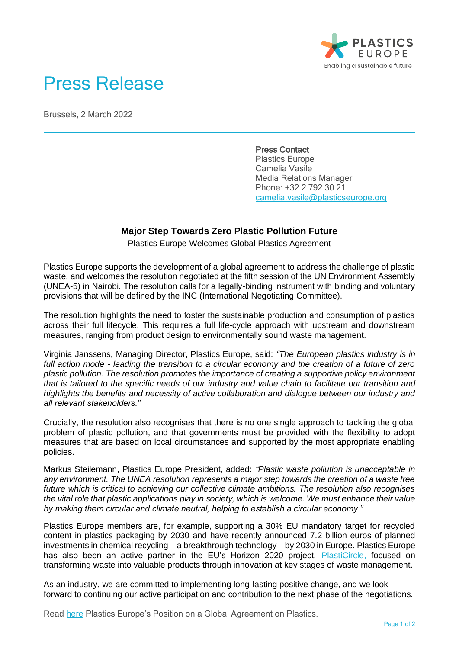

## Press Release

Brussels, 2 March 2022

Press Contact Plastics Europe Camelia Vasile Media Relations Manager Phone: +32 2 792 30 21 [camelia.vasile@plasticseurope.org](mailto:camelia.vasile@plasticseurope.org)

## **Major Step Towards Zero Plastic Pollution Future**

Plastics Europe Welcomes Global Plastics Agreement

Plastics Europe supports the development of a global agreement to address the challenge of plastic waste, and welcomes the resolution negotiated at the fifth session of the UN Environment Assembly (UNEA-5) in Nairobi. The resolution calls for a legally-binding instrument with binding and voluntary provisions that will be defined by the INC (International Negotiating Committee).

The resolution highlights the need to foster the sustainable production and consumption of plastics across their full lifecycle. This requires a full life-cycle approach with upstream and downstream measures, ranging from product design to environmentally sound waste management.

Virginia Janssens, Managing Director, Plastics Europe, said: *"The European plastics industry is in full action mode - leading the transition to a circular economy and the creation of a future of zero plastic pollution. The resolution promotes the importance of creating a supportive policy environment that is tailored to the specific needs of our industry and value chain to facilitate our transition and highlights the benefits and necessity of active collaboration and dialogue between our industry and all relevant stakeholders."* 

Crucially, the resolution also recognises that there is no one single approach to tackling the global problem of plastic pollution, and that governments must be provided with the flexibility to adopt measures that are based on local circumstances and supported by the most appropriate enabling policies.

Markus Steilemann, Plastics Europe President, added: *"Plastic waste pollution is unacceptable in any environment. The UNEA resolution represents a major step towards the creation of a waste free future which is critical to achieving our collective climate ambitions. The resolution also recognises the vital role that plastic applications play in society, which is welcome. We must enhance their value by making them circular and climate neutral, helping to establish a circular economy."*

Plastics Europe members are, for example, supporting a 30% EU mandatory target for recycled content in plastics packaging by 2030 and have recently announced [7.2 billion euros of planned](https://plasticseurope.org/european-plastics-manufacturers-plan-7-2-billion-euros-of-investment-in-chemical-recycling-3/)  [investments](https://plasticseurope.org/european-plastics-manufacturers-plan-7-2-billion-euros-of-investment-in-chemical-recycling-3/) in chemical recycling – a breakthrough technology – by 2030 in Europe. Plastics Europe has also been an active partner in the EU's Horizon 2020 project, [PlastiCircle,](https://plasticseurope.org/about-us/collaborations/) focused on transforming waste into valuable products through innovation at key stages of waste management.

As an industry, we are committed to implementing long-lasting positive change, and we look forward to continuing our active participation and contribution to the next phase of the negotiations.

Read [here](https://plasticseurope.org/knowledge-hub/plastics-europe-position-on-a-global-agreementon-plastics/) Plastics Europe's Position on a Global Agreement on Plastics.